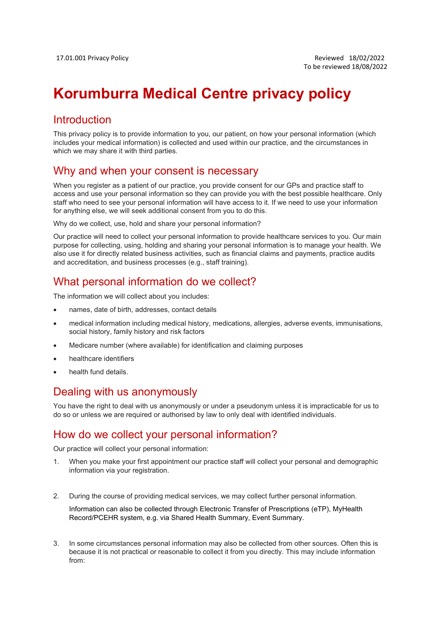# Korumburra Medical Centre privacy policy

# Introduction

This privacy policy is to provide information to you, our patient, on how your personal information (which includes your medical information) is collected and used within our practice, and the circumstances in which we may share it with third parties.

#### Why and when your consent is necessary

When you register as a patient of our practice, you provide consent for our GPs and practice staff to access and use your personal information so they can provide you with the best possible healthcare. Only staff who need to see your personal information will have access to it. If we need to use your information for anything else, we will seek additional consent from you to do this.

Why do we collect, use, hold and share your personal information?

Our practice will need to collect your personal information to provide healthcare services to you. Our main purpose for collecting, using, holding and sharing your personal information is to manage your health. We also use it for directly related business activities, such as financial claims and payments, practice audits and accreditation, and business processes (e.g., staff training).

## What personal information do we collect?

The information we will collect about you includes:

- names, date of birth, addresses, contact details
- medical information including medical history, medications, allergies, adverse events, immunisations, social history, family history and risk factors
- Medicare number (where available) for identification and claiming purposes
- healthcare identifiers
- health fund details.

## Dealing with us anonymously

You have the right to deal with us anonymously or under a pseudonym unless it is impracticable for us to do so or unless we are required or authorised by law to only deal with identified individuals.

## How do we collect your personal information?

Our practice will collect your personal information:

- 1. When you make your first appointment our practice staff will collect your personal and demographic information via your registration.
- 2. During the course of providing medical services, we may collect further personal information.

Information can also be collected through Electronic Transfer of Prescriptions (eTP), MyHealth Record/PCEHR system, e.g. via Shared Health Summary, Event Summary.

3. In some circumstances personal information may also be collected from other sources. Often this is because it is not practical or reasonable to collect it from you directly. This may include information from: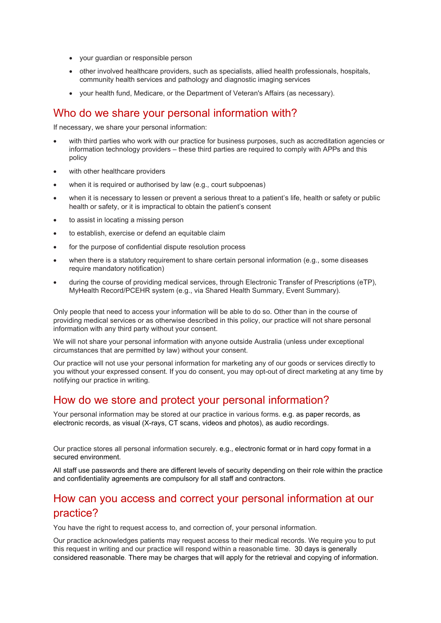- your guardian or responsible person
- other involved healthcare providers, such as specialists, allied health professionals, hospitals, community health services and pathology and diagnostic imaging services
- your health fund, Medicare, or the Department of Veteran's Affairs (as necessary).

#### Who do we share your personal information with?

If necessary, we share your personal information:

- with third parties who work with our practice for business purposes, such as accreditation agencies or information technology providers – these third parties are required to comply with APPs and this policy
- with other healthcare providers
- when it is required or authorised by law (e.g., court subpoenas)
- when it is necessary to lessen or prevent a serious threat to a patient's life, health or safety or public health or safety, or it is impractical to obtain the patient's consent
- to assist in locating a missing person
- to establish, exercise or defend an equitable claim
- for the purpose of confidential dispute resolution process
- when there is a statutory requirement to share certain personal information (e.g., some diseases require mandatory notification)
- during the course of providing medical services, through Electronic Transfer of Prescriptions (eTP), MyHealth Record/PCEHR system (e.g., via Shared Health Summary, Event Summary).

Only people that need to access your information will be able to do so. Other than in the course of providing medical services or as otherwise described in this policy, our practice will not share personal information with any third party without your consent.

We will not share your personal information with anyone outside Australia (unless under exceptional circumstances that are permitted by law) without your consent.

Our practice will not use your personal information for marketing any of our goods or services directly to you without your expressed consent. If you do consent, you may opt-out of direct marketing at any time by notifying our practice in writing.

#### How do we store and protect your personal information?

Your personal information may be stored at our practice in various forms. e.g. as paper records, as electronic records, as visual (X-rays, CT scans, videos and photos), as audio recordings.

Our practice stores all personal information securely. e.g., electronic format or in hard copy format in a secured environment.

All staff use passwords and there are different levels of security depending on their role within the practice and confidentiality agreements are compulsory for all staff and contractors.

# How can you access and correct your personal information at our practice?

You have the right to request access to, and correction of, your personal information.

Our practice acknowledges patients may request access to their medical records. We require you to put this request in writing and our practice will respond within a reasonable time. 30 days is generally considered reasonable. There may be charges that will apply for the retrieval and copying of information.